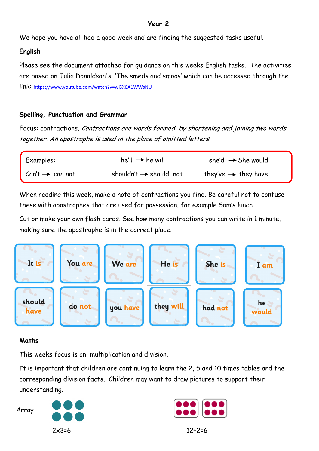### **Year 2**

We hope you have all had a good week and are finding the suggested tasks useful.

# **English**

Please see the document attached for guidance on this weeks English tasks. The activities are based on Julia Donaldson's 'The smeds and smoos' which can be accessed through the link: <https://www.youtube.com/watch?v=wGX6A1WWsNU>

# **Spelling, Punctuation and Grammar**

Focus: contractions. Contractions are words formed by shortening and joining two words together. An apostrophe is used in the place of omitted letters.

| Examples:                   | he'll $\rightarrow$ he will        | she'd $\rightarrow$ She would   |
|-----------------------------|------------------------------------|---------------------------------|
| $Can't \rightarrow can not$ | shouldn't $\rightarrow$ should not | they've $\rightarrow$ they have |

When reading this week, make a note of contractions you find. Be careful not to confuse these with apostrophes that are used for possession, for example Sam's lunch.

Cut or make your own flash cards. See how many contractions you can write in 1 minute, making sure the apostrophe is in the correct place.



# **Maths**

This weeks focus is on multiplication and division.

It is important that children are continuing to learn the 2, 5 and 10 times tables and the corresponding division facts. Children may want to draw pictures to support their understanding.

Array



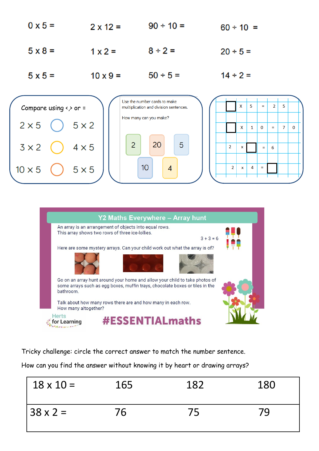|                |                 | Use the number cards to make |                |
|----------------|-----------------|------------------------------|----------------|
| $5 \times 5 =$ | $10 \times 9 =$ | $50 \div 5 =$                | $14 \div 2 =$  |
| $5 \times 8 =$ | $1 \times 2 =$  | $8 \div 2 =$                 | $20 \div 5 =$  |
| $0 \times 5 =$ | $2 \times 12 =$ | $90 \div 10 =$               | $60 \div 10 =$ |





Tricky challenge: circle the correct answer to match the number sentence.

How can you find the answer without knowing it by heart or drawing arrays?

| $18 \times 10 =$ | 165 | 182 | 180 |
|------------------|-----|-----|-----|
| $38 \times 2 =$  | 76  | 75  |     |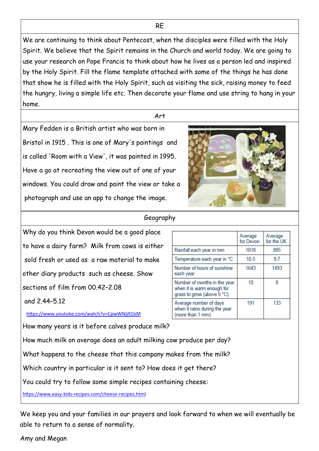We are continuing to think about Pentecost, when the disciples were filled with the Holy Spirit. We believe that the Spirit remains in the Church and world today. We are going to use your research on Pope Francis to think about how he lives as a person led and inspired by the Holy Spirit. Fill the flame template attached with some of the things he has done that show he is filled with the Holy Spirit, such as visiting the sick, raising money to feed the hungry, living a simple life etc. Then decorate your flame and use string to hang in your home.

#### Art

Mary Fedden is a British artist who was born in Bristol in 1915 . This is one of Mary's paintings and is called 'Room with a View', it was painted in 1995. Have a go at recreating the view out of one of your windows. You could draw and paint the view or take a photograph and use an app to change the image.



#### Geography

Why do you think Devon would be a good place to have a dairy farm? Milk from cows is either sold fresh or used as a raw material to make other diary products such as cheese. Show sections of film from 00.42–2.08

and 2.44–5.12

<https://www.youtube.com/watch?v=CpwWNjj91bM>

How many years is it before calves produce milk?

How much milk on average does an adult milking cow produce per day?

What happens to the cheese that this company makes from the milk?

Which country in particular is it sent to? How does it get there?

You could try to follow some simple recipes containing cheese:

https://www.easy-kids-[recipes.com/cheese](https://www.easy-kids-recipes.com/cheese-recipes.html)-recipes.html

We keep you and your families in our prayers and look forward to when we will eventually be able to return to a sense of normality.

#### Amy and Megan

|                                                                                          | Average<br>for Devon | Average<br>for the UK |
|------------------------------------------------------------------------------------------|----------------------|-----------------------|
| Rainfall each year in mm                                                                 | 1018                 | 885                   |
| Temperature each year in °C                                                              | 10.5                 | 97                    |
| Number of hours of sunshine<br>each year                                                 | 1643                 | 1493                  |
| Number of months in the year<br>when it is warm enough for<br>grass to grow (above 6 °C) | 10                   | я                     |
| Average number of days<br>when it rains during the year<br>(more than 1 mm)              | 191                  | 133                   |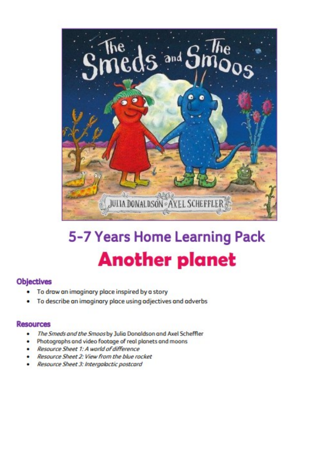

# 5-7 Years Home Learning Pack **Another planet**

# **Objectives**

- To draw an imaginary place inspired by a story
- To describe an imaginary place using adjectives and adverbs ٠

### **Resources**

- The Smeds and the Smoos by Julia Donaldson and Axel Scheffler ٠
- Photographs and video footage of real planets and moons
- Resource Sheet 1: A world of difference
- Resource Sheet 2: View from the blue rocket
- Resource Sheet 3: Intergalactic postcard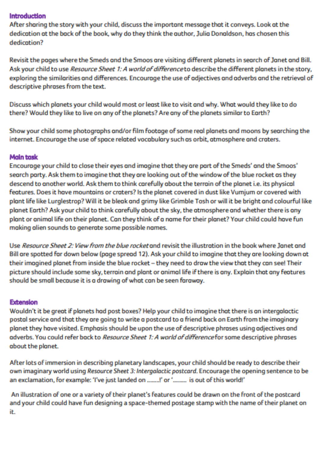#### Introduction

After sharing the story with your child, discuss the important message that it conveys. Look at the dedication at the back of the book, why do they think the author. Julia Donaldson, has chosen this dedication?

Revisit the pages where the Smeds and the Smoos are visiting different planets in search of Janet and Bill. Ask your child to use *Resource Sheet 1: A world of difference* to describe the different planets in the story, exploring the similarities and differences. Encourage the use of adjectives and adverbs and the retrieval of descriptive phroses from the text.

Discuss which planets your child would most or least like to visit and why. What would they like to do there? Would they like to live on any of the planets? Are any of the planets similar to Earth?

Show your child some photographs and/or film footage of some real planets and moons by searching the internet. Encourage the use of space related vocabulary such as orbit, atmosphere and craters.

### **Main task**

Encourage your child to close their eyes and imagine that they are part of the Smeds' and the Smoos' search party. Ask them to imagine that they are looking out of the window of the blue rocket as they descend to another world. Ask them to think carefully about the terrain of the planet i.e. its physical features. Does it have mountains or craters? Is the planet covered in dust like Vumjum or covered with plant life like Lurglestrop? Will it be bleak and grimy like Grimble Tosh or will it be bright and colourful like planet Earth? Ask your child to think carefully about the sky, the atmosphere and whether there is any plant or animal life on their planet. Can they think of a name for their planet? Your child could have fun making alien sounds to generate some possible names.

Use Resource Sheet 2: View from the blue rocket and revisit the illustration in the book where Janet and Bill are spotted far down below (page spread 12). Ask your child to imagine that they are looking down at their imagined planet from inside the blue rocket - they need to draw the view that they can see! Their picture should include some sky, terrain and plant or animal life if there is any. Explain that any features should be small because it is a drawing of what can be seen faraway.

#### **Extension**

Wouldn't it be great if planets had post boxes? Help your child to imagine that there is an intergalactic postal service and that they are going to write a postcard to a friend back on Earth from the imaginary planet they have visited. Emphasis should be upon the use of descriptive phrases using adjectives and adverbs. You could refer back to Resource Sheet 1: A world of difference for some descriptive phrases about the planet.

After lots of immersion in describing planetary landscapes, your child should be ready to describe their own imaginary world using Resource Sheet 3: Intergalactic postcard. Encourage the opening sentence to be an exclamation, for example: 'I've just landed on ........!' or '......... is out of this world!'

An illustration of one or a variety of their planet's features could be drawn on the front of the postcard and your child could have fun designing a space-themed postage stamp with the name of their planet on it.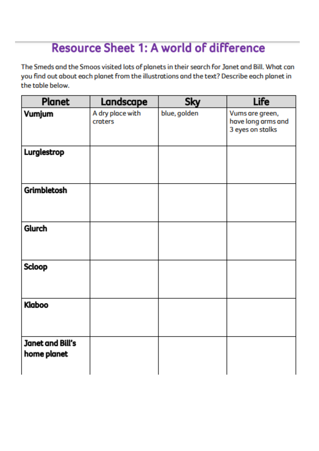# **Resource Sheet 1: A world of difference**

The Smeds and the Smoos visited lots of planets in their search for Janet and Bill. What can you find out about each planet from the illustrations and the text? Describe each planet in the toble below.

| <b>Planet</b>                   | Landscape                   | Sky          | <b>Life</b>                                               |
|---------------------------------|-----------------------------|--------------|-----------------------------------------------------------|
| Vumjum                          | A dry place with<br>craters | blue, golden | Vums are green,<br>have long arms and<br>3 eyes on stalks |
| Lurglestrop                     |                             |              |                                                           |
| <b>Grimbletosh</b>              |                             |              |                                                           |
| Glurch                          |                             |              |                                                           |
| <b>Scloop</b>                   |                             |              |                                                           |
| Klaboo                          |                             |              |                                                           |
| Janet and Bill's<br>home planet |                             |              |                                                           |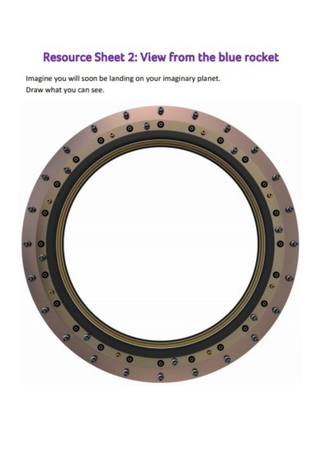# Resource Sheet 2: View from the blue rocket

Imagine you will soon be landing on your imaginary planet. Draw what you can see.

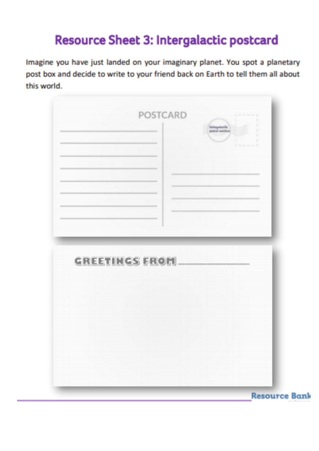# **Resource Sheet 3: Intergalactic postcard**

Imagine you have just landed on your imaginary planet. You spot a planetary post box and decide to write to your friend back on Earth to tell them all about this world.



**Resource Bank**